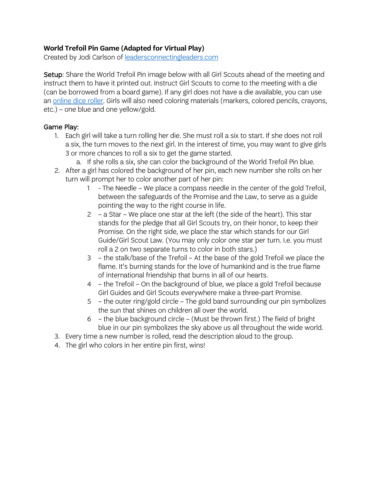# **World Trefoil Pin Game (Adapted for Virtual Play)**

Created by Jodi Carlson of leadersconnectingleaders.com

Setup: Share the World Trefoil Pin image below with all Girl Scouts ahead of the meeting and instruct them to have it printed out. Instruct Girl Scouts to come to the meeting with a die (can be borrowed from a board game). If any girl does not have a die available, you can use an online dice roller. Girls will also need coloring materials (markers, colored pencils, crayons, etc.) – one blue and one yellow/gold.

# Game Play:

- 1. Each girl will take a turn rolling her die. She must roll a six to start. If she does not roll a six, the turn moves to the next girl. In the interest of time, you may want to give girls 3 or more chances to roll a six to get the game started.
	- a. If she rolls a six, she can color the background of the World Trefoil Pin blue.
- 2. After a girl has colored the background of her pin, each new number she rolls on her turn will prompt her to color another part of her pin:
	- 1 The Needle We place a compass needle in the center of the gold Trefoil, between the safeguards of the Promise and the Law, to serve as a guide pointing the way to the right course in life.
	- 2 a Star We place one star at the left (the side of the heart). This star stands for the pledge that all Girl Scouts try, on their honor, to keep their Promise. On the right side, we place the star which stands for our Girl Guide/Girl Scout Law. (You may only color one star per turn. I.e. you must roll a 2 on two separate turns to color in both stars.)
	- 3 the stalk/base of the Trefoil At the base of the gold Trefoil we place the flame. It's burning stands for the love of humankind and is the true flame of international friendship that burns in all of our hearts.
	- 4 the Trefoil On the background of blue, we place a gold Trefoil because Girl Guides and Girl Scouts everywhere make a three-part Promise.
	- 5 the outer ring/gold circle The gold band surrounding our pin symbolizes the sun that shines on children all over the world.
	- 6 the blue background circle (Must be thrown first.) The field of bright blue in our pin symbolizes the sky above us all throughout the wide world.
- 3. Every time a new number is rolled, read the description aloud to the group.
- 4. The girl who colors in her entire pin first, wins!